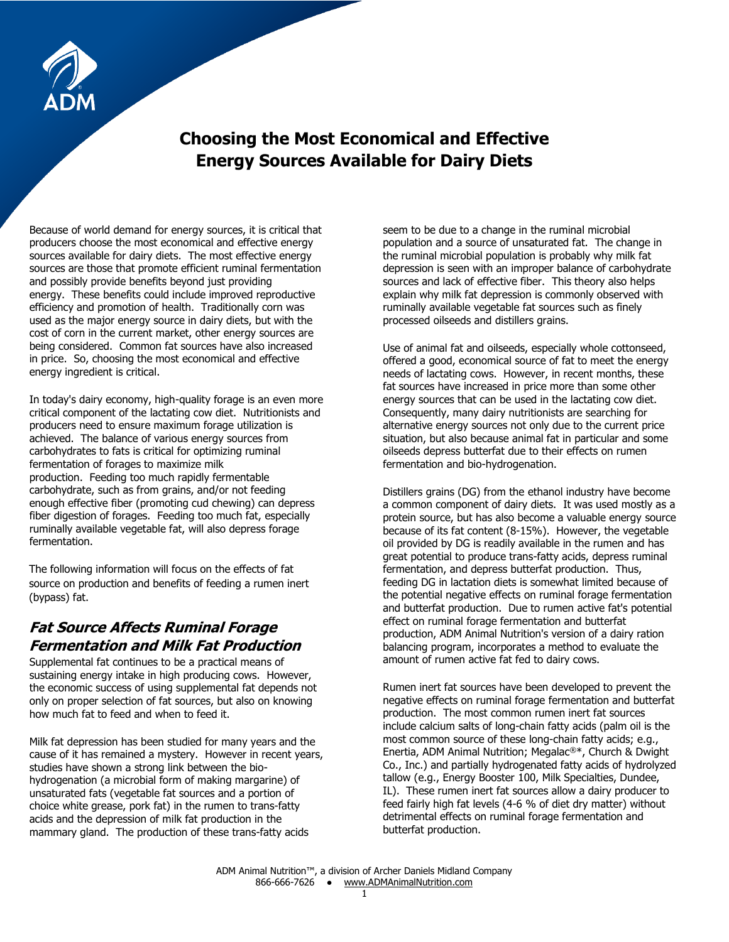

# **Choosing the Most Economical and Effective Energy Sources Available for Dairy Diets**

Because of world demand for energy sources, it is critical that producers choose the most economical and effective energy sources available for dairy diets. The most effective energy sources are those that promote efficient ruminal fermentation and possibly provide benefits beyond just providing energy. These benefits could include improved reproductive efficiency and promotion of health. Traditionally corn was used as the major energy source in dairy diets, but with the cost of corn in the current market, other energy sources are being considered. Common fat sources have also increased in price. So, choosing the most economical and effective energy ingredient is critical.

In today's dairy economy, high-quality forage is an even more critical component of the lactating cow diet. Nutritionists and producers need to ensure maximum forage utilization is achieved. The balance of various energy sources from carbohydrates to fats is critical for optimizing ruminal fermentation of forages to maximize milk production. Feeding too much rapidly fermentable carbohydrate, such as from grains, and/or not feeding enough effective fiber (promoting cud chewing) can depress fiber digestion of forages. Feeding too much fat, especially ruminally available vegetable fat, will also depress forage fermentation.

The following information will focus on the effects of fat source on production and benefits of feeding a rumen inert (bypass) fat.

### **Fat Source Affects Ruminal Forage Fermentation and Milk Fat Production**

Supplemental fat continues to be a practical means of sustaining energy intake in high producing cows. However, the economic success of using supplemental fat depends not only on proper selection of fat sources, but also on knowing how much fat to feed and when to feed it.

Milk fat depression has been studied for many years and the cause of it has remained a mystery. However in recent years, studies have shown a strong link between the biohydrogenation (a microbial form of making margarine) of unsaturated fats (vegetable fat sources and a portion of choice white grease, pork fat) in the rumen to trans-fatty acids and the depression of milk fat production in the mammary gland. The production of these trans-fatty acids

seem to be due to a change in the ruminal microbial population and a source of unsaturated fat. The change in the ruminal microbial population is probably why milk fat depression is seen with an improper balance of carbohydrate sources and lack of effective fiber. This theory also helps explain why milk fat depression is commonly observed with ruminally available vegetable fat sources such as finely processed oilseeds and distillers grains.

Use of animal fat and oilseeds, especially whole cottonseed, offered a good, economical source of fat to meet the energy needs of lactating cows. However, in recent months, these fat sources have increased in price more than some other energy sources that can be used in the lactating cow diet. Consequently, many dairy nutritionists are searching for alternative energy sources not only due to the current price situation, but also because animal fat in particular and some oilseeds depress butterfat due to their effects on rumen fermentation and bio-hydrogenation.

Distillers grains (DG) from the ethanol industry have become a common component of dairy diets. It was used mostly as a protein source, but has also become a valuable energy source because of its fat content (8-15%). However, the vegetable oil provided by DG is readily available in the rumen and has great potential to produce trans-fatty acids, depress ruminal fermentation, and depress butterfat production. Thus, feeding DG in lactation diets is somewhat limited because of the potential negative effects on ruminal forage fermentation and butterfat production. Due to rumen active fat's potential effect on ruminal forage fermentation and butterfat production, ADM Animal Nutrition's version of a dairy ration balancing program, incorporates a method to evaluate the amount of rumen active fat fed to dairy cows.

Rumen inert fat sources have been developed to prevent the negative effects on ruminal forage fermentation and butterfat production. The most common rumen inert fat sources include calcium salts of long-chain fatty acids (palm oil is the most common source of these long-chain fatty acids; e.g., Enertia, ADM Animal Nutrition; Megalac®\*, Church & Dwight Co., Inc.) and partially hydrogenated fatty acids of hydrolyzed tallow (e.g., Energy Booster 100, Milk Specialties, Dundee, IL). These rumen inert fat sources allow a dairy producer to feed fairly high fat levels (4-6 % of diet dry matter) without detrimental effects on ruminal forage fermentation and butterfat production.